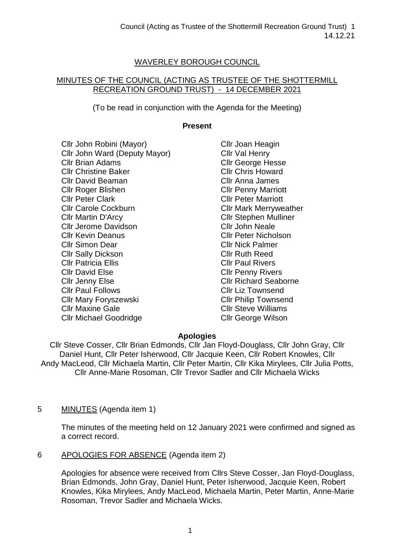# WAVERLEY BOROUGH COUNCIL

#### MINUTES OF THE COUNCIL (ACTING AS TRUSTEE OF THE SHOTTERMILL RECREATION GROUND TRUST) - 14 DECEMBER 2021

(To be read in conjunction with the Agenda for the Meeting)

### **Present**

Cllr John Robini (Mayor) Cllr John Ward (Deputy Mayor) Cllr Brian Adams Cllr Christine Baker Cllr David Beaman Cllr Roger Blishen Cllr Peter Clark Cllr Carole Cockburn Cllr Martin D'Arcy Cllr Jerome Davidson Cllr Kevin Deanus Cllr Simon Dear Cllr Sally Dickson Cllr Patricia Ellis Cllr David Else Cllr Jenny Else Cllr Paul Follows Cllr Mary Foryszewski Cllr Maxine Gale Cllr Michael Goodridge

Cllr Joan Heagin Cllr Val Henry Cllr George Hesse Cllr Chris Howard Cllr Anna James Cllr Penny Marriott Cllr Peter Marriott Cllr Mark Merryweather Cllr Stephen Mulliner Cllr John Neale Cllr Peter Nicholson Cllr Nick Palmer Cllr Ruth Reed Cllr Paul Rivers Cllr Penny Rivers Cllr Richard Seaborne Cllr Liz Townsend Cllr Philip Townsend Cllr Steve Williams Cllr George Wilson

## **Apologies**

Cllr Steve Cosser, Cllr Brian Edmonds, Cllr Jan Floyd-Douglass, Cllr John Gray, Cllr Daniel Hunt, Cllr Peter Isherwood, Cllr Jacquie Keen, Cllr Robert Knowles, Cllr Andy MacLeod, Cllr Michaela Martin, Cllr Peter Martin, Cllr Kika Mirylees, Cllr Julia Potts, Cllr Anne-Marie Rosoman, Cllr Trevor Sadler and Cllr Michaela Wicks

## 5 MINUTES (Agenda item 1)

The minutes of the meeting held on 12 January 2021 were confirmed and signed as a correct record.

6 APOLOGIES FOR ABSENCE (Agenda item 2)

Apologies for absence were received from Cllrs Steve Cosser, Jan Floyd-Douglass, Brian Edmonds, John Gray, Daniel Hunt, Peter Isherwood, Jacquie Keen, Robert Knowles, Kika Mirylees, Andy MacLeod, Michaela Martin, Peter Martin, Anne-Marie Rosoman, Trevor Sadler and Michaela Wicks.